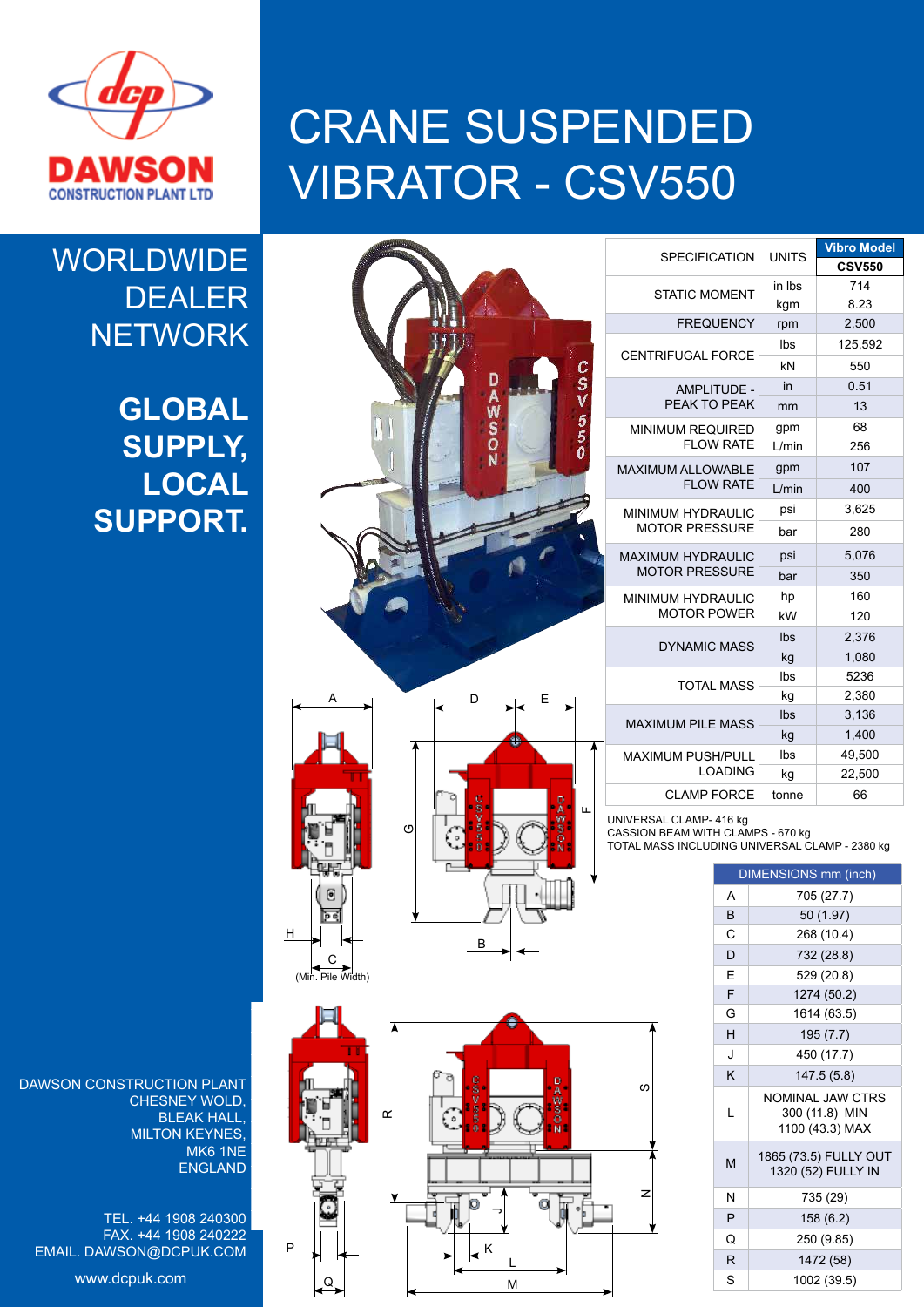

## CRANE SUSPENDED VIBRATOR - CSV550

## **WORLDWIDE** DEALER **NETWORK**

**GLOBAL SUPPLY, LOCAL SUPPORT.**

|                                                                                                                                   | CENT                                                     |
|-----------------------------------------------------------------------------------------------------------------------------------|----------------------------------------------------------|
| CSV550<br><b>CAMPIONER FOR MOTOR CAMPION</b>                                                                                      | <b>MINI</b>                                              |
|                                                                                                                                   | <b>MAXIN</b><br><b>MININ</b><br>MC<br><b>MAXIN</b><br>MC |
|                                                                                                                                   | <b>MININ</b>                                             |
| A<br>D<br>E<br>۰<br>ommedia<br>ň<br>ſĪ<br>Щ<br>$\circ$<br>r,<br>ė<br>Θ<br><u>이</u><br>ø<br>$\overline{B}$<br>С<br>in. Pile Width) | MAXI<br>MAXII<br>UNIVERS<br>CASSION<br>TOTAL M/          |
| $\alpha$<br>$\circ$                                                                                                               | S                                                        |

| <b>SPECIFICATION</b>                              | <b>UNITS</b> | Vibro Model   |
|---------------------------------------------------|--------------|---------------|
|                                                   |              | <b>CSV550</b> |
| <b>STATIC MOMENT</b>                              | in Ibs       | 714           |
|                                                   | kgm          | 8.23          |
| <b>FREQUENCY</b>                                  | rpm          | 2,500         |
| <b>CENTRIFUGAL FORCE</b>                          | Ibs          | 125,592       |
|                                                   | kN           | 550           |
| <b>AMPLITUDE -</b>                                | in           | 0.51          |
| PEAK TO PEAK                                      | mm           | 13            |
| <b>MINIMUM REQUIRED</b><br><b>FLOW RATE</b>       | gpm          | 68            |
|                                                   | L/min        | 256           |
| <b>MAXIMUM ALLOWABLE</b>                          | gpm          | 107           |
| <b>FLOW RATE</b>                                  | L/min        | 400           |
| <b>MINIMUM HYDRAULIC</b><br><b>MOTOR PRESSURE</b> | psi          | 3,625         |
|                                                   | bar          | 280           |
| <b>MAXIMUM HYDRAULIC</b>                          | psi          | 5,076         |
| <b>MOTOR PRESSURE</b>                             | bar          | 350           |
| <b>MINIMUM HYDRAULIC</b>                          | hp           | 160           |
| <b>MOTOR POWER</b>                                | kW           | 120           |
| <b>DYNAMIC MASS</b>                               | Ibs          | 2,376         |
|                                                   | kg           | 1,080         |
| <b>TOTAL MASS</b>                                 | Ibs          | 5236          |
|                                                   | kg           | 2,380         |
| <b>MAXIMUM PILE MASS</b>                          | Ibs          | 3,136         |
|                                                   | kg           | 1.400         |
| <b>MAXIMUM PUSH/PULL</b><br><b>LOADING</b>        | Ibs          | 49,500        |
|                                                   | kg           | 22,500        |
| <b>CLAMP FORCE</b>                                | tonne        | 66            |

UNIVERSAL CLAMP- 416 kg

CASSION BEAM WITH CLAMPS - 670 kg

TOTAL MASS INCLUDING UNIVERSAL CLAMP - 2380 kg

| DIMENSIONS mm (inch) |                                                              |  |  |
|----------------------|--------------------------------------------------------------|--|--|
| A                    | 705 (27.7)                                                   |  |  |
| B                    | 50 (1.97)                                                    |  |  |
| C                    | 268 (10.4)                                                   |  |  |
| D                    | 732 (28.8)                                                   |  |  |
| F                    | 529 (20.8)                                                   |  |  |
| F                    | 1274 (50.2)                                                  |  |  |
| G                    | 1614 (63.5)                                                  |  |  |
| H                    | 195 (7.7)                                                    |  |  |
| J                    | 450 (17.7)                                                   |  |  |
| K                    | 147.5 (5.8)                                                  |  |  |
| L                    | <b>NOMINAL JAW CTRS</b><br>300 (11.8) MIN<br>1100 (43.3) MAX |  |  |
| M                    | 1865 (73.5) FULLY OUT<br>1320 (52) FULLY IN                  |  |  |
| N                    | 735 (29)                                                     |  |  |
| P                    | 158 (6.2)                                                    |  |  |
| Q                    | 250 (9.85)                                                   |  |  |
| R                    | 1472 (58)                                                    |  |  |
| S                    | 1002 (39.5)                                                  |  |  |



M

DAWSON CONSTRUCTION PLANT CHESNEY WOLD, BLEAK HALL, MILTON KEYNES, MK6 1NE ENGLAND  $H$ 

TEL. +44 1908 240300 FAX. +44 1908 240222 EMAIL. DAWSON@DCPUK.COM

www.dcpuk.com